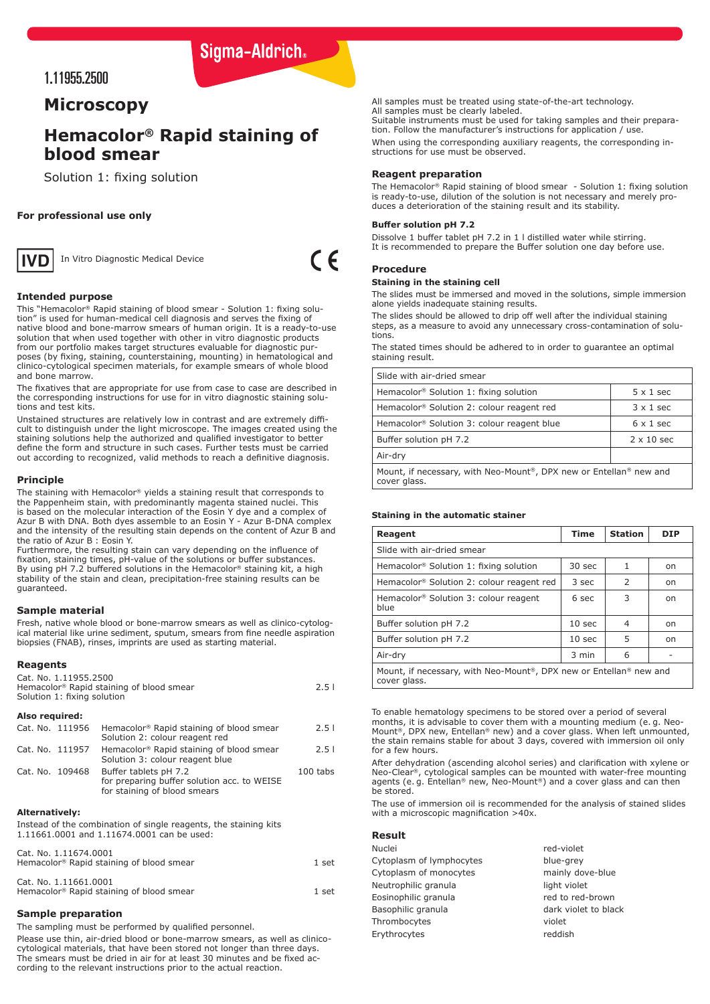# Sigma-Aldrich.

## 1.11955.2500

## **Microscopy**

# **Hemacolor® Rapid staining of blood smear**

Solution 1: fixing solution

## **For professional use only**



In Vitro Diagnostic Medical Device

 $\epsilon$ 

## **Intended purpose**

This "Hemacolor® Rapid staining of blood smear - Solution 1: fixing solution" is used for human-medical cell diagnosis and serves the fixing of native blood and bone-marrow smears of human origin. It is a ready-to-use solution that when used together with other in vitro diagnostic products from our portfolio makes target structures evaluable for diagnostic purposes (by fixing, staining, counterstaining, mounting) in hematological and clinico-cytological specimen materials, for example smears of whole blood and bone marrow.

The fixatives that are appropriate for use from case to case are described in the corresponding instructions for use for in vitro diagnostic staining solutions and test kits.

Unstained structures are relatively low in contrast and are extremely difficult to distinguish under the light microscope. The images created using the staining solutions help the authorized and qualified investigator to better define the form and structure in such cases. Further tests must be carried out according to recognized, valid methods to reach a definitive diagnosis.

#### **Principle**

The staining with Hemacolor® yields a staining result that corresponds to the Pappenheim stain, with predominantly magenta stained nuclei. This is based on the molecular interaction of the Eosin Y dye and a complex of Azur B with DNA. Both dyes assemble to an Eosin Y - Azur B-DNA complex and the intensity of the resulting stain depends on the content of Azur B and the ratio of Azur B : Eosin Y.

Furthermore, the resulting stain can vary depending on the influence of fixation, staining times, pH-value of the solutions or buffer substances. By using pH 7.2 buffered solutions in the Hemacolor<sup>®</sup> staining kit, a high stability of the stain and clean, precipitation-free staining results can be guaranteed.

## **Sample material**

Fresh, native whole blood or bone-marrow smears as well as clinico-cytological material like urine sediment, sputum, smears from fine needle aspiration biopsies (FNAB), rinses, imprints are used as starting material.

## **Reagents**

| Cat. No. 1.11955.2500                                |      |
|------------------------------------------------------|------|
| Hemacolor <sup>®</sup> Rapid staining of blood smear | 2.51 |
| Solution 1: fixing solution                          |      |

## **Also required:**

|                 | Cat. No. 111956 | Hemacolor <sup>®</sup> Rapid staining of blood smear<br>Solution 2: colour reagent red               | 2.51       |
|-----------------|-----------------|------------------------------------------------------------------------------------------------------|------------|
| Cat. No. 111957 |                 | Hemacolor <sup>®</sup> Rapid staining of blood smear<br>Solution 3: colour reagent blue              | 2.51       |
| Cat. No. 109468 |                 | Buffer tablets pH 7.2<br>for preparing buffer solution acc. to WEISE<br>for staining of blood smears | $100$ tabs |

## **Alternatively:**

Instead of the combination of single reagents, the staining kits 1.11661.0001 and 1.11674.0001 can be used:

Cat. No. 1.11674.0001

| Hemacolor <sup>®</sup> Rapid staining of blood smear                          | 1 set |
|-------------------------------------------------------------------------------|-------|
| Cat. No. 1.11661.0001<br>Hemacolor <sup>®</sup> Rapid staining of blood smear | 1 set |

## **Sample preparation**

The sampling must be performed by qualified personnel.

Please use thin, air-dried blood or bone-marrow smears, as well as clinicocytological materials, that have been stored not longer than three days. The smears must be dried in air for at least 30 minutes and be fixed according to the relevant instructions prior to the actual reaction.

All samples must be treated using state-of-the-art technology. All samples must be dearly labeled. Suitable instruments must be used for taking samples and their prepara-

tion. Follow the manufacturer's instructions for application / use. When using the corresponding auxiliary reagents, the corresponding in-

structions for use must be observed.

## **Reagent preparation**

The Hemacolor® Rapid staining of blood smear - Solution 1: fixing solution is ready-to-use, dilution of the solution is not necessary and merely produces a deterioration of the staining result and its stability.

#### **Buffer solution pH 7.2**

Dissolve 1 buffer tablet pH 7.2 in 1 l distilled water while stirring. It is recommended to prepare the Buffer solution one day before use.

## **Procedure**

#### **Staining in the staining cell**

The slides must be immersed and moved in the solutions, simple immersion alone yields inadequate staining results.

The slides should be allowed to drip off well after the individual staining steps, as a measure to avoid any unnecessary cross-contamination of solutions.

The stated times should be adhered to in order to guarantee an optimal staining result.

| Slide with air-dried smear                                                                      |                   |  |  |
|-------------------------------------------------------------------------------------------------|-------------------|--|--|
| Hemacolor <sup>®</sup> Solution 1: fixing solution                                              | $5 \times 1$ sec  |  |  |
| Hemacolor <sup>®</sup> Solution 2: colour reagent red                                           | $3 \times 1$ sec  |  |  |
| Hemacolor <sup>®</sup> Solution 3: colour reagent blue                                          | $6 \times 1$ sec  |  |  |
| Buffer solution pH 7.2                                                                          | $2 \times 10$ sec |  |  |
| Air-dry                                                                                         |                   |  |  |
| Mount, if necessary, with Neo-Mount <sup>®</sup> , DPX new or Entellan® new and<br>cover glass. |                   |  |  |

### **Staining in the automatic stainer**

| Reagent                                                                                         | <b>Time</b>       | <b>Station</b> | <b>DIP</b> |
|-------------------------------------------------------------------------------------------------|-------------------|----------------|------------|
| Slide with air-dried smear                                                                      |                   |                |            |
| Hemacolor <sup>®</sup> Solution 1: fixing solution                                              | 30 sec            | 1              | on         |
| Hemacolor <sup>®</sup> Solution 2: colour reagent red                                           | 3 sec             | $\mathcal{P}$  | on         |
| Hemacolor <sup>®</sup> Solution 3: colour reagent<br>blue                                       | 6 sec             | 3              | on         |
| Buffer solution pH 7.2                                                                          | 10 <sub>sec</sub> | 4              | on         |
| Buffer solution pH 7.2                                                                          | 10 <sub>sec</sub> | 5              | on         |
| Air-dry                                                                                         | 3 min             | 6              |            |
| Mount, if necessary, with Neo-Mount <sup>®</sup> , DPX new or Entellan® new and<br>cover glass. |                   |                |            |

To enable hematology specimens to be stored over a period of several months, it is advisable to cover them with a mounting medium (e. g. Neo-Mount®, DPX new, Entellan® new) and a cover glass. When left unmounted, the stain remains stable for about 3 days, covered with immersion oil only for a few hours.

After dehydration (ascending alcohol series) and clarification with xylene or Neo-Clear®, cytological samples can be mounted with water-free mounting agents (e. g. Entellan® new, Neo-Mount®) and a cover glass and can then be stored.

The use of immersion oil is recommended for the analysis of stained slides with a microscopic magnification >40x.

#### **Result**

| Nuclei                   | red-violet           |
|--------------------------|----------------------|
| Cytoplasm of lymphocytes | blue-grey            |
| Cytoplasm of monocytes   | mainly dove-blue     |
| Neutrophilic granula     | light violet         |
| Eosinophilic granula     | red to red-brown     |
| Basophilic granula       | dark violet to black |
| Thrombocytes             | violet               |
| Erythrocytes             | reddish              |